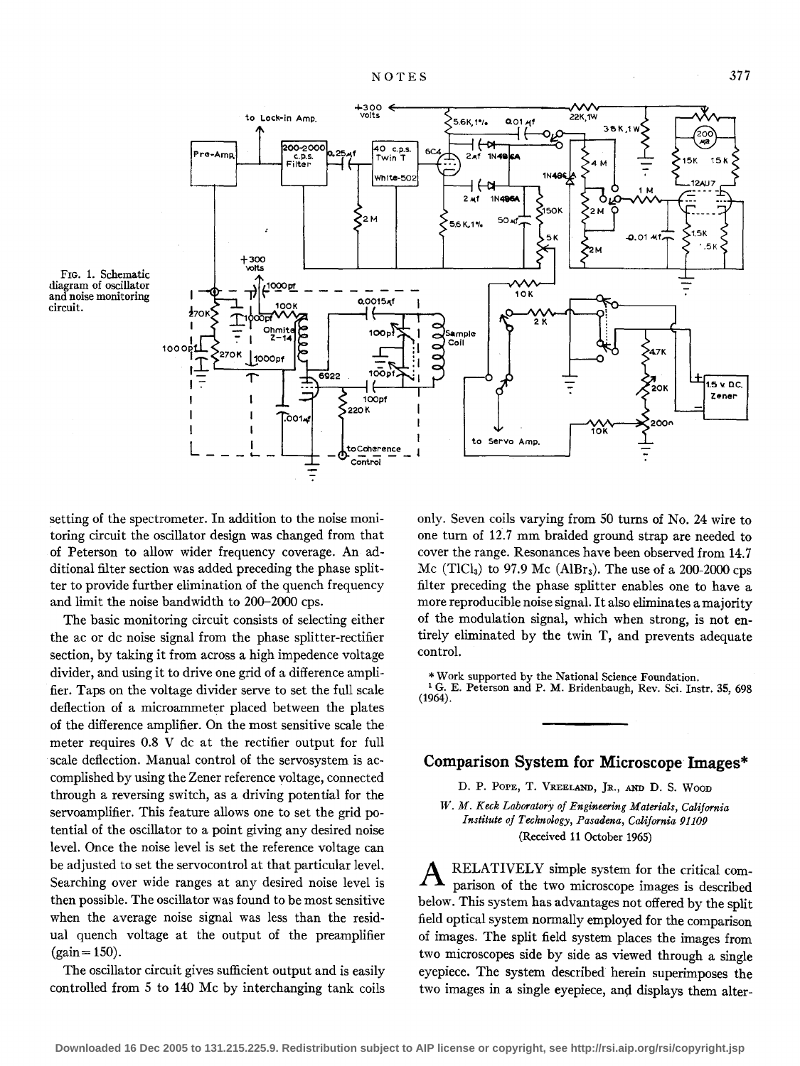$+300$ <br>volts

to Lock-in Amp.

'n. 200-2000 40 c.p.s. Pre-Amo  $2n1$  $1N-16$ c.p.:<br>Filter Twin **1N486** White-502 124117 € -N  $2 \times 1$ **1N496** M 50 Af  $\mathbf{P}_{2\mathrm{M}}$ 5.6 K.1% 5K **A 01.4** f300 \Oits 1000pf 10K **0.0015xf**  $\overline{2}$ c  $100<sub>p</sub>$ sample Ć Coil 1000 C  $\bullet$ 1000pf  $100M$ 6922  $15 \times 20$ .<br>20K Zener  $\mathbf{I}$ 100pt I 220K I  $\mathbf I$  $\int 0.014$  $200<sub>c</sub>$ I Yok Servo Amp. to  $L = \delta$ to Coherence **Control**  $\overline{z}$ 

5.6K, 1%

 $0.01A<sub>1</sub>$ 



setting of the spectrometer. In addition to the noise monitoring circuit the oscillator design was changed from that of Peterson to allow wider frequency coverage. An additional filter section was added preceding the phase splitter to provide further elimination of the quench frequency and limit the noise bandwidth to 200-2000 cps.

The basic monitoring circuit consists of selecting either the ac or de noise signal from the phase splitter-rectifier section, by taking it from across a high impedence voltage divider, and using it to drive one grid of a difference amplifier. Taps on the voltage divider serve to set the full scale deflection of a microammeter placed between the plates of the difference amplifier. On the most sensitive scale the meter requires 0.8 V de at the rectifier output for full scale deflection. Manual control of the servosystem is accomplished by using the Zener reference voltage, connected through a reversing switch, as a driving potential for the servoamplifier. This feature allows one to set the grid potential of the oscillator to a point giving any desired noise level. Once the noise level is set the reference voltage can be adjusted to set the servocontrol at that particular level. Searching over wide ranges at any desired noise level is then possible. The oscillator was found to be most sensitive when the average noise signal was less than the residual quench voltage at the output of the preamplifier  $(gain = 150)$ .

The oscillator circuit gives sufficient output and is easily controlled from 5 to **140** Me by interchanging tank coils

only. Seven coils varying from SO turns of No. 24 wire to one turn of 12.7 mm braided ground strap are needed to cover the range. Resonances have been observed from 14.7 Mc (TlCl<sub>3</sub>) to 97.9 Mc (AlBr<sub>3</sub>). The use of a 200-2000 cps filter preceding the phase splitter enables one to have a more reproducible noise signal. It also eliminates a majority of the modulation signal, which when strong, is not entirely eliminated by the twin T, and prevents adequate control.

22K.1W

\*Work supported by the National Science Foundation.<br><sup>1</sup> G. E. Peterson and P. M. Bridenbaugh, Rev. Sci. Instr. 35, 698 (1964).

## **Comparison System for Microscope Images\***

D. P. POPE, T. VREELAND, JR., AND D. S. Woon

*W. M. Keck Laboratory of Engineering Materials, California Institute of Technology, Pasadena, California 91109*  (Received 11 October 1965)

**A** RELATIVELY simple system for the critical comparison of the two microscope images is described below. This system has advantages not offered by the split field optical system normally employed for the comparison of images. The split field system places the images from two microscopes side by side as viewed through a single eyepiece. The system described herein superimposes the two images in a single eyepiece, and displays them alter-